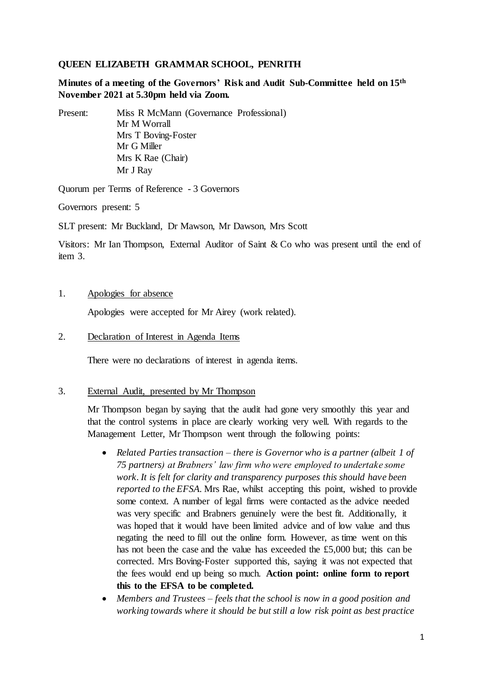## **QUEEN ELIZABETH GRAMMAR SCHOOL, PENRITH**

**Minutes of a meeting of the Governors' Risk and Audit Sub-Committee held on 15th November 2021 at 5.30pm held via Zoom.**

Present: Miss R McMann (Governance Professional) Mr M Worrall Mrs T Boving-Foster Mr G Miller Mrs K Rae (Chair) Mr J Ray

Quorum per Terms of Reference - 3 Governors

Governors present: 5

SLT present: Mr Buckland, Dr Mawson, Mr Dawson, Mrs Scott

Visitors: Mr Ian Thompson, External Auditor of Saint & Co who was present until the end of item 3.

### 1. Apologies for absence

Apologies were accepted for Mr Airey (work related).

2. Declaration of Interest in Agenda Items

There were no declarations of interest in agenda items.

#### 3. External Audit, presented by Mr Thompson

Mr Thompson began by saying that the audit had gone very smoothly this year and that the control systems in place are clearly working very well. With regards to the Management Letter, Mr Thompson went through the following points:

- *Related Parties transaction – there is Governor who is a partner (albeit 1 of 75 partners) at Brabners' law firm who were employed to undertake some work. It is felt for clarity and transparency purposes this should have been reported to the EFSA.* Mrs Rae, whilst accepting this point, wished to provide some context. A number of legal firms were contacted as the advice needed was very specific and Brabners genuinely were the best fit. Additionally, it was hoped that it would have been limited advice and of low value and thus negating the need to fill out the online form. However, as time went on this has not been the case and the value has exceeded the £5,000 but; this can be corrected. Mrs Boving-Foster supported this, saying it was not expected that the fees would end up being so much. **Action point: online form to report this to the EFSA to be completed.**
- *Members and Trustees – feels that the school is now in a good position and working towards where it should be but still a low risk point as best practice*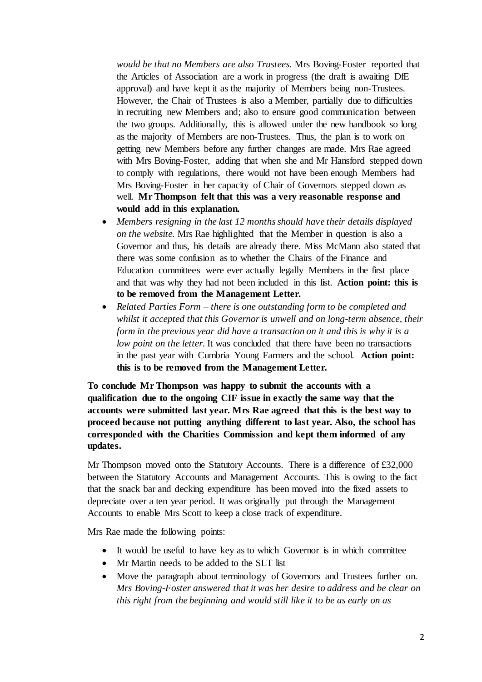*would be that no Members are also Trustees.* Mrs Boving-Foster reported that the Articles of Association are a work in progress (the draft is awaiting DfE approval) and have kept it as the majority of Members being non-Trustees. However, the Chair of Trustees is also a Member, partially due to difficulties in recruiting new Members and; also to ensure good communication between the two groups. Additionally, this is allowed under the new handbook so long as the majority of Members are non-Trustees. Thus, the plan is to work on getting new Members before any further changes are made. Mrs Rae agreed with Mrs Boving-Foster, adding that when she and Mr Hansford stepped down to comply with regulations, there would not have been enough Members had Mrs Boving-Foster in her capacity of Chair of Governors stepped down as well. **Mr Thompson felt that this was a very reasonable response and would add in this explanation.**

- *Members resigning in the last 12 months should have their details displayed on the website.* Mrs Rae highlighted that the Member in question is also a Governor and thus, his details are already there. Miss McMann also stated that there was some confusion as to whether the Chairs of the Finance and Education committees were ever actually legally Members in the first place and that was why they had not been included in this list. **Action point: this is to be removed from the Management Letter.**
- *Related Parties Form – there is one outstanding form to be completed and whilst it accepted that this Governor is unwell and on long-term absence, their form in the previous year did have a transaction on it and this is why it is a low point on the letter.* It was concluded that there have been no transactions in the past year with Cumbria Young Farmers and the school. **Action point: this is to be removed from the Management Letter.**

**To conclude Mr Thompson was happy to submit the accounts with a qualification due to the ongoing CIF issue in exactly the same way that the accounts were submitted last year. Mrs Rae agreed that this is the best way to proceed because not putting anything different to last year. Also, the school has corresponded with the Charities Commission and kept them informed of any updates.** 

Mr Thompson moved onto the Statutory Accounts. There is a difference of  $£32,000$ between the Statutory Accounts and Management Accounts. This is owing to the fact that the snack bar and decking expenditure has been moved into the fixed assets to depreciate over a ten year period. It was originally put through the Management Accounts to enable Mrs Scott to keep a close track of expenditure.

Mrs Rae made the following points:

- It would be useful to have key as to which Governor is in which committee
- Mr Martin needs to be added to the SLT list
- Move the paragraph about terminology of Governors and Trustees further on. *Mrs Boving-Foster answered that it was her desire to address and be clear on this right from the beginning and would still like it to be as early on as*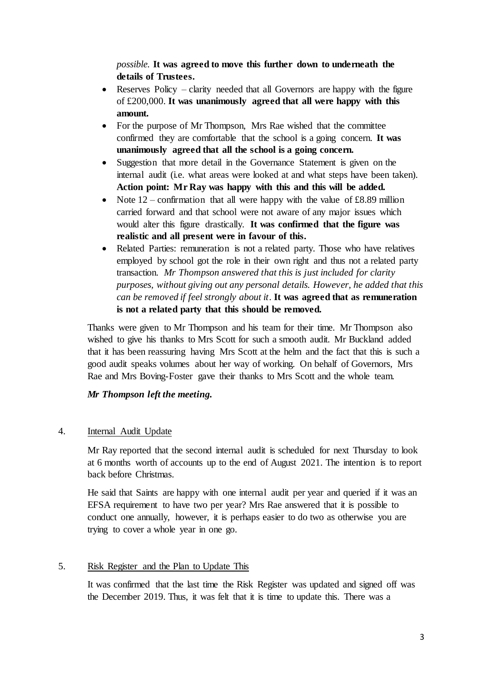*possible.* **It was agreed to move this further down to underneath the details of Trustees.** 

- Reserves Policy clarity needed that all Governors are happy with the figure of £200,000. **It was unanimously agreed that all were happy with this amount.**
- For the purpose of Mr Thompson, Mrs Rae wished that the committee confirmed they are comfortable that the school is a going concern. **It was unanimously agreed that all the school is a going concern.**
- Suggestion that more detail in the Governance Statement is given on the internal audit (i.e. what areas were looked at and what steps have been taken). **Action point: Mr Ray was happy with this and this will be added.**
- Note  $12$  confirmation that all were happy with the value of £8.89 million carried forward and that school were not aware of any major issues which would alter this figure drastically. **It was confirmed that the figure was realistic and all present were in favour of this.**
- Related Parties: remuneration is not a related party. Those who have relatives employed by school got the role in their own right and thus not a related party transaction. *Mr Thompson answered that this is just included for clarity purposes, without giving out any personal details. However, he added that this can be removed if feel strongly about it*. **It was agreed that as remuneration is not a related party that this should be removed.**

Thanks were given to Mr Thompson and his team for their time. Mr Thompson also wished to give his thanks to Mrs Scott for such a smooth audit. Mr Buckland added that it has been reassuring having Mrs Scott at the helm and the fact that this is such a good audit speaks volumes about her way of working. On behalf of Governors, Mrs Rae and Mrs Boving-Foster gave their thanks to Mrs Scott and the whole team.

# *Mr Thompson left the meeting.*

## 4. Internal Audit Update

Mr Ray reported that the second internal audit is scheduled for next Thursday to look at 6 months worth of accounts up to the end of August 2021. The intention is to report back before Christmas.

He said that Saints are happy with one internal audit per year and queried if it was an EFSA requirement to have two per year? Mrs Rae answered that it is possible to conduct one annually, however, it is perhaps easier to do two as otherwise you are trying to cover a whole year in one go.

## 5. Risk Register and the Plan to Update This

It was confirmed that the last time the Risk Register was updated and signed off was the December 2019. Thus, it was felt that it is time to update this. There was a